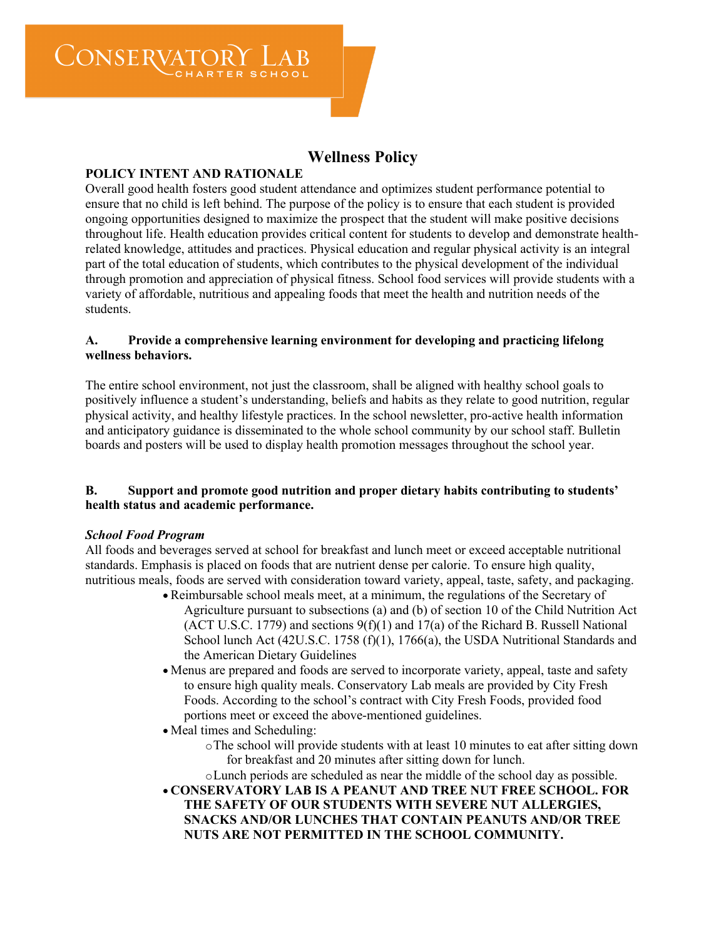CONSERVATOR

# **Wellness Policy**

# **POLICY INTENT AND RATIONALE**

Overall good health fosters good student attendance and optimizes student performance potential to ensure that no child is left behind. The purpose of the policy is to ensure that each student is provided ongoing opportunities designed to maximize the prospect that the student will make positive decisions throughout life. Health education provides critical content for students to develop and demonstrate healthrelated knowledge, attitudes and practices. Physical education and regular physical activity is an integral part of the total education of students, which contributes to the physical development of the individual through promotion and appreciation of physical fitness. School food services will provide students with a variety of affordable, nutritious and appealing foods that meet the health and nutrition needs of the students.

#### **A. Provide a comprehensive learning environment for developing and practicing lifelong wellness behaviors.**

The entire school environment, not just the classroom, shall be aligned with healthy school goals to positively influence a student's understanding, beliefs and habits as they relate to good nutrition, regular physical activity, and healthy lifestyle practices. In the school newsletter, pro-active health information and anticipatory guidance is disseminated to the whole school community by our school staff. Bulletin boards and posters will be used to display health promotion messages throughout the school year.

### **B. Support and promote good nutrition and proper dietary habits contributing to students' health status and academic performance.**

#### *School Food Program*

All foods and beverages served at school for breakfast and lunch meet or exceed acceptable nutritional standards. Emphasis is placed on foods that are nutrient dense per calorie. To ensure high quality, nutritious meals, foods are served with consideration toward variety, appeal, taste, safety, and packaging.

- Reimbursable school meals meet, at a minimum, the regulations of the Secretary of Agriculture pursuant to subsections (a) and (b) of section 10 of the Child Nutrition Act (ACT U.S.C. 1779) and sections  $9(f)(1)$  and 17(a) of the Richard B. Russell National School lunch Act (42U.S.C. 1758 (f)(1), 1766(a), the USDA Nutritional Standards and the American Dietary Guidelines
- Menus are prepared and foods are served to incorporate variety, appeal, taste and safety to ensure high quality meals. Conservatory Lab meals are provided by City Fresh Foods. According to the school's contract with City Fresh Foods, provided food portions meet or exceed the above-mentioned guidelines.
- Meal times and Scheduling:
	- oThe school will provide students with at least 10 minutes to eat after sitting down for breakfast and 20 minutes after sitting down for lunch.

oLunch periods are scheduled as near the middle of the school day as possible. • **CONSERVATORY LAB IS A PEANUT AND TREE NUT FREE SCHOOL. FOR THE SAFETY OF OUR STUDENTS WITH SEVERE NUT ALLERGIES, SNACKS AND/OR LUNCHES THAT CONTAIN PEANUTS AND/OR TREE NUTS ARE NOT PERMITTED IN THE SCHOOL COMMUNITY.**